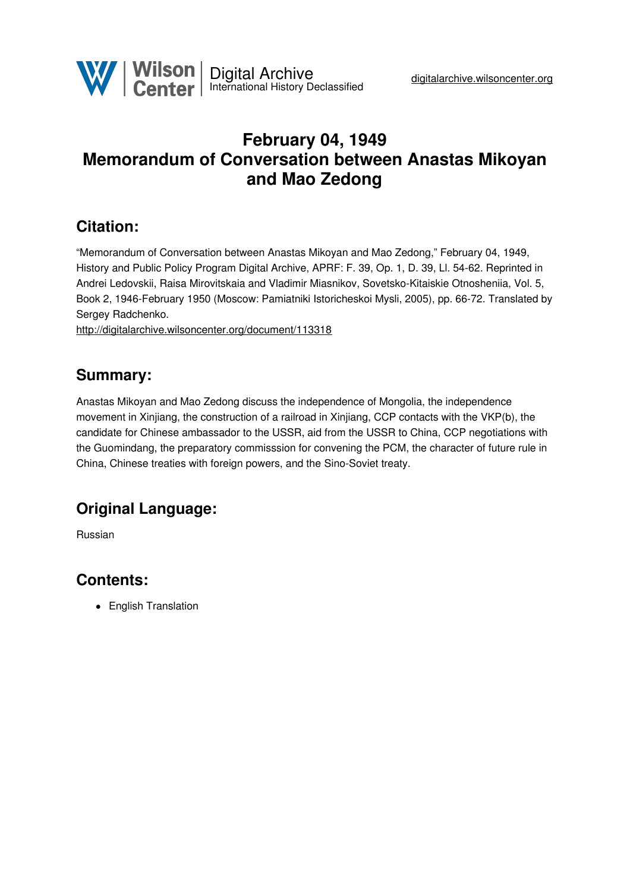

# **February 04, 1949 Memorandum of Conversation between Anastas Mikoyan and Mao Zedong**

## **Citation:**

"Memorandum of Conversation between Anastas Mikoyan and Mao Zedong," February 04, 1949, History and Public Policy Program Digital Archive, APRF: F. 39, Op. 1, D. 39, Ll. 54-62. Reprinted in Andrei Ledovskii, Raisa Mirovitskaia and Vladimir Miasnikov, Sovetsko-Kitaiskie Otnosheniia, Vol. 5, Book 2, 1946-February 1950 (Moscow: Pamiatniki Istoricheskoi Mysli, 2005), pp. 66-72. Translated by Sergey Radchenko.

<http://digitalarchive.wilsoncenter.org/document/113318>

## **Summary:**

Anastas Mikoyan and Mao Zedong discuss the independence of Mongolia, the independence movement in Xinjiang, the construction of a railroad in Xinjiang, CCP contacts with the VKP(b), the candidate for Chinese ambassador to the USSR, aid from the USSR to China, CCP negotiations with the Guomindang, the preparatory commisssion for convening the PCM, the character of future rule in China, Chinese treaties with foreign powers, and the Sino-Soviet treaty.

## **Original Language:**

Russian

# **Contents:**

• English Translation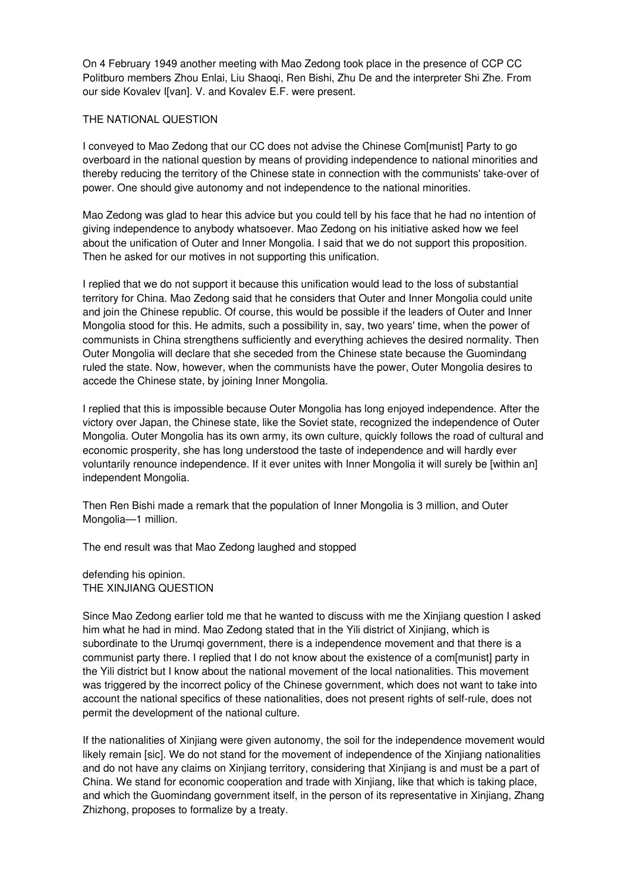On 4 February 1949 another meeting with Mao Zedong took place in the presence of CCP CC Politburo members Zhou Enlai, Liu Shaoqi, Ren Bishi, Zhu De and the interpreter Shi Zhe. From our side Kovalev I[van]. V. and Kovalev E.F. were present.

#### THE NATIONAL QUESTION

I conveyed to Mao Zedong that our CC does not advise the Chinese Com[munist] Party to go overboard in the national question by means of providing independence to national minorities and thereby reducing the territory of the Chinese state in connection with the communists' take-over of power. One should give autonomy and not independence to the national minorities.

Mao Zedong was glad to hear this advice but you could tell by his face that he had no intention of giving independence to anybody whatsoever. Mao Zedong on his initiative asked how we feel about the unification of Outer and Inner Mongolia. I said that we do not support this proposition. Then he asked for our motives in not supporting this unification.

I replied that we do not support it because this unification would lead to the loss of substantial territory for China. Mao Zedong said that he considers that Outer and Inner Mongolia could unite and join the Chinese republic. Of course, this would be possible if the leaders of Outer and Inner Mongolia stood for this. He admits, such a possibility in, say, two years' time, when the power of communists in China strengthens sufficiently and everything achieves the desired normality. Then Outer Mongolia will declare that she seceded from the Chinese state because the Guomindang ruled the state. Now, however, when the communists have the power, Outer Mongolia desires to accede the Chinese state, by joining Inner Mongolia.

I replied that this is impossible because Outer Mongolia has long enjoyed independence. After the victory over Japan, the Chinese state, like the Soviet state, recognized the independence of Outer Mongolia. Outer Mongolia has its own army, its own culture, quickly follows the road of cultural and economic prosperity, she has long understood the taste of independence and will hardly ever voluntarily renounce independence. If it ever unites with Inner Mongolia it will surely be [within an] independent Mongolia.

Then Ren Bishi made a remark that the population of Inner Mongolia is 3 million, and Outer Mongolia—1 million.

The end result was that Mao Zedong laughed and stopped

defending his opinion. THE XINJIANG QUESTION

Since Mao Zedong earlier told me that he wanted to discuss with me the Xinjiang question I asked him what he had in mind. Mao Zedong stated that in the Yili district of Xinjiang, which is subordinate to the Urumqi government, there is a independence movement and that there is a communist party there. I replied that I do not know about the existence of a com[munist] party in the Yili district but I know about the national movement of the local nationalities. This movement was triggered by the incorrect policy of the Chinese government, which does not want to take into account the national specifics of these nationalities, does not present rights of self-rule, does not permit the development of the national culture.

If the nationalities of Xinjiang were given autonomy, the soil for the independence movement would likely remain [sic]. We do not stand for the movement of independence of the Xinjiang nationalities and do not have any claims on Xinjiang territory, considering that Xinjiang is and must be a part of China. We stand for economic cooperation and trade with Xinjiang, like that which is taking place, and which the Guomindang government itself, in the person of its representative in Xinjiang, Zhang Zhizhong, proposes to formalize by a treaty.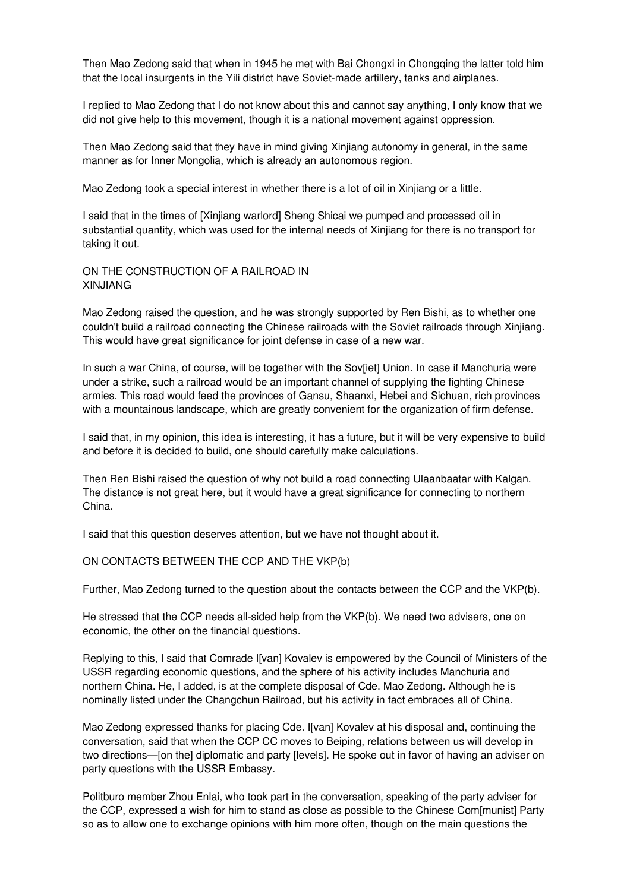Then Mao Zedong said that when in 1945 he met with Bai Chongxi in Chongqing the latter told him that the local insurgents in the Yili district have Soviet-made artillery, tanks and airplanes.

I replied to Mao Zedong that I do not know about this and cannot say anything, I only know that we did not give help to this movement, though it is a national movement against oppression.

Then Mao Zedong said that they have in mind giving Xinjiang autonomy in general, in the same manner as for Inner Mongolia, which is already an autonomous region.

Mao Zedong took a special interest in whether there is a lot of oil in Xinjiang or a little.

I said that in the times of [Xinjiang warlord] Sheng Shicai we pumped and processed oil in substantial quantity, which was used for the internal needs of Xinjiang for there is no transport for taking it out.

ON THE CONSTRUCTION OF A RAILROAD IN XINJIANG

Mao Zedong raised the question, and he was strongly supported by Ren Bishi, as to whether one couldn't build a railroad connecting the Chinese railroads with the Soviet railroads through Xinjiang. This would have great significance for joint defense in case of a new war.

In such a war China, of course, will be together with the Sov[iet] Union. In case if Manchuria were under a strike, such a railroad would be an important channel of supplying the fighting Chinese armies. This road would feed the provinces of Gansu, Shaanxi, Hebei and Sichuan, rich provinces with a mountainous landscape, which are greatly convenient for the organization of firm defense.

I said that, in my opinion, this idea is interesting, it has a future, but it will be very expensive to build and before it is decided to build, one should carefully make calculations.

Then Ren Bishi raised the question of why not build a road connecting Ulaanbaatar with Kalgan. The distance is not great here, but it would have a great significance for connecting to northern China.

I said that this question deserves attention, but we have not thought about it.

ON CONTACTS BETWEEN THE CCP AND THE VKP(b)

Further, Mao Zedong turned to the question about the contacts between the CCP and the VKP(b).

He stressed that the CCP needs all-sided help from the VKP(b). We need two advisers, one on economic, the other on the financial questions.

Replying to this, I said that Comrade I[van] Kovalev is empowered by the Council of Ministers of the USSR regarding economic questions, and the sphere of his activity includes Manchuria and northern China. He, I added, is at the complete disposal of Cde. Mao Zedong. Although he is nominally listed under the Changchun Railroad, but his activity in fact embraces all of China.

Mao Zedong expressed thanks for placing Cde. I[van] Kovalev at his disposal and, continuing the conversation, said that when the CCP CC moves to Beiping, relations between us will develop in two directions—[on the] diplomatic and party [levels]. He spoke out in favor of having an adviser on party questions with the USSR Embassy.

Politburo member Zhou Enlai, who took part in the conversation, speaking of the party adviser for the CCP, expressed a wish for him to stand as close as possible to the Chinese Com[munist] Party so as to allow one to exchange opinions with him more often, though on the main questions the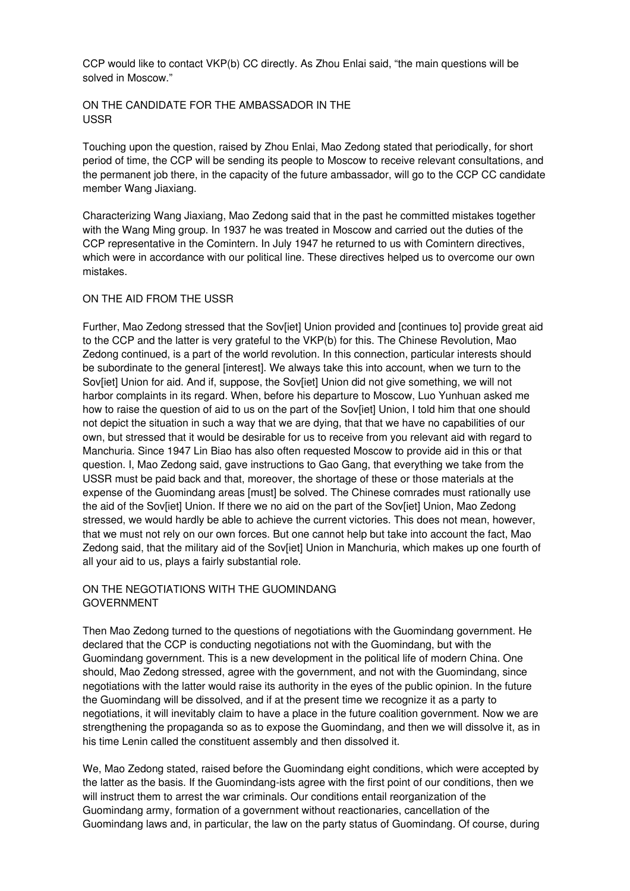CCP would like to contact VKP(b) CC directly. As Zhou Enlai said, "the main questions will be solved in Moscow."

ON THE CANDIDATE FOR THE AMBASSADOR IN THE USSR

Touching upon the question, raised by Zhou Enlai, Mao Zedong stated that periodically, for short period of time, the CCP will be sending its people to Moscow to receive relevant consultations, and the permanent job there, in the capacity of the future ambassador, will go to the CCP CC candidate member Wang Jiaxiang.

Characterizing Wang Jiaxiang, Mao Zedong said that in the past he committed mistakes together with the Wang Ming group. In 1937 he was treated in Moscow and carried out the duties of the CCP representative in the Comintern. In July 1947 he returned to us with Comintern directives, which were in accordance with our political line. These directives helped us to overcome our own mistakes.

#### ON THE AID FROM THE USSR

Further, Mao Zedong stressed that the Sov[iet] Union provided and [continues to] provide great aid to the CCP and the latter is very grateful to the VKP(b) for this. The Chinese Revolution, Mao Zedong continued, is a part of the world revolution. In this connection, particular interests should be subordinate to the general [interest]. We always take this into account, when we turn to the Sov[iet] Union for aid. And if, suppose, the Sov[iet] Union did not give something, we will not harbor complaints in its regard. When, before his departure to Moscow, Luo Yunhuan asked me how to raise the question of aid to us on the part of the Sov[iet] Union, I told him that one should not depict the situation in such a way that we are dying, that that we have no capabilities of our own, but stressed that it would be desirable for us to receive from you relevant aid with regard to Manchuria. Since 1947 Lin Biao has also often requested Moscow to provide aid in this or that question. I, Mao Zedong said, gave instructions to Gao Gang, that everything we take from the USSR must be paid back and that, moreover, the shortage of these or those materials at the expense of the Guomindang areas [must] be solved. The Chinese comrades must rationally use the aid of the Sov[iet] Union. If there we no aid on the part of the Sov[iet] Union, Mao Zedong stressed, we would hardly be able to achieve the current victories. This does not mean, however, that we must not rely on our own forces. But one cannot help but take into account the fact, Mao Zedong said, that the military aid of the Sov[iet] Union in Manchuria, which makes up one fourth of all your aid to us, plays a fairly substantial role.

## ON THE NEGOTIATIONS WITH THE GUOMINDANG GOVERNMENT

Then Mao Zedong turned to the questions of negotiations with the Guomindang government. He declared that the CCP is conducting negotiations not with the Guomindang, but with the Guomindang government. This is a new development in the political life of modern China. One should, Mao Zedong stressed, agree with the government, and not with the Guomindang, since negotiations with the latter would raise its authority in the eyes of the public opinion. In the future the Guomindang will be dissolved, and if at the present time we recognize it as a party to negotiations, it will inevitably claim to have a place in the future coalition government. Now we are strengthening the propaganda so as to expose the Guomindang, and then we will dissolve it, as in his time Lenin called the constituent assembly and then dissolved it.

We, Mao Zedong stated, raised before the Guomindang eight conditions, which were accepted by the latter as the basis. If the Guomindang-ists agree with the first point of our conditions, then we will instruct them to arrest the war criminals. Our conditions entail reorganization of the Guomindang army, formation of a government without reactionaries, cancellation of the Guomindang laws and, in particular, the law on the party status of Guomindang. Of course, during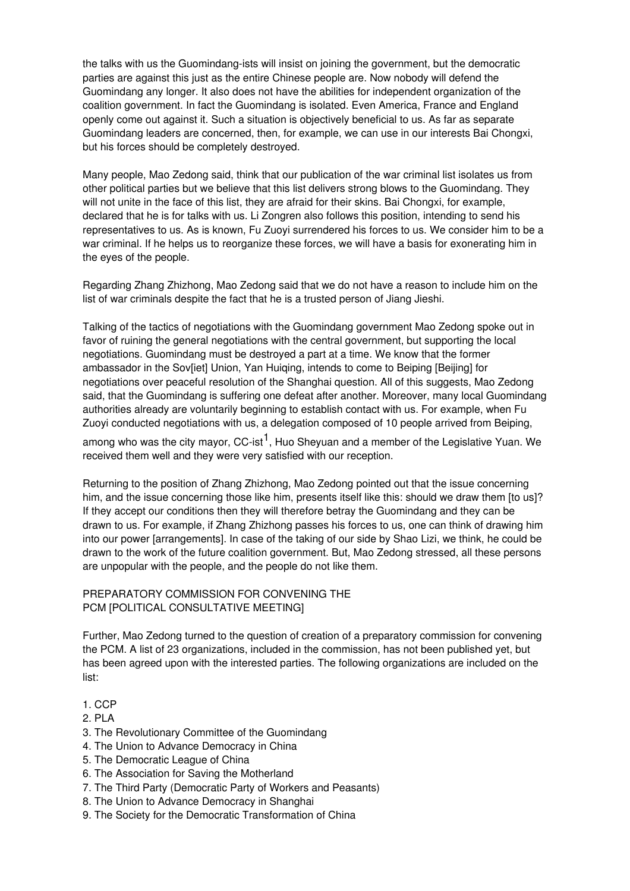the talks with us the Guomindang-ists will insist on joining the government, but the democratic parties are against this just as the entire Chinese people are. Now nobody will defend the Guomindang any longer. It also does not have the abilities for independent organization of the coalition government. In fact the Guomindang is isolated. Even America, France and England openly come out against it. Such a situation is objectively beneficial to us. As far as separate Guomindang leaders are concerned, then, for example, we can use in our interests Bai Chongxi, but his forces should be completely destroyed.

Many people, Mao Zedong said, think that our publication of the war criminal list isolates us from other political parties but we believe that this list delivers strong blows to the Guomindang. They will not unite in the face of this list, they are afraid for their skins. Bai Chongxi, for example, declared that he is for talks with us. Li Zongren also follows this position, intending to send his representatives to us. As is known, Fu Zuoyi surrendered his forces to us. We consider him to be a war criminal. If he helps us to reorganize these forces, we will have a basis for exonerating him in the eyes of the people.

Regarding Zhang Zhizhong, Mao Zedong said that we do not have a reason to include him on the list of war criminals despite the fact that he is a trusted person of Jiang Jieshi.

Talking of the tactics of negotiations with the Guomindang government Mao Zedong spoke out in favor of ruining the general negotiations with the central government, but supporting the local negotiations. Guomindang must be destroyed a part at a time. We know that the former ambassador in the Sov[iet] Union, Yan Huiqing, intends to come to Beiping [Beijing] for negotiations over peaceful resolution of the Shanghai question. All of this suggests, Mao Zedong said, that the Guomindang is suffering one defeat after another. Moreover, many local Guomindang authorities already are voluntarily beginning to establish contact with us. For example, when Fu Zuoyi conducted negotiations with us, a delegation composed of 10 people arrived from Beiping,

among who was the city mayor, CC-ist<sup>1</sup>, Huo Sheyuan and a member of the Legislative Yuan. We received them well and they were very satisfied with our reception.

Returning to the position of Zhang Zhizhong, Mao Zedong pointed out that the issue concerning him, and the issue concerning those like him, presents itself like this: should we draw them [to us]? If they accept our conditions then they will therefore betray the Guomindang and they can be drawn to us. For example, if Zhang Zhizhong passes his forces to us, one can think of drawing him into our power [arrangements]. In case of the taking of our side by Shao Lizi, we think, he could be drawn to the work of the future coalition government. But, Mao Zedong stressed, all these persons are unpopular with the people, and the people do not like them.

### PREPARATORY COMMISSION FOR CONVENING THE PCM [POLITICAL CONSULTATIVE MEETING]

Further, Mao Zedong turned to the question of creation of a preparatory commission for convening the PCM. A list of 23 organizations, included in the commission, has not been published yet, but has been agreed upon with the interested parties. The following organizations are included on the list:

## 1. CCP

- 2. PLA
- 3. The Revolutionary Committee of the Guomindang
- 4. The Union to Advance Democracy in China
- 5. The Democratic League of China
- 6. The Association for Saving the Motherland
- 7. The Third Party (Democratic Party of Workers and Peasants)
- 8. The Union to Advance Democracy in Shanghai
- 9. The Society for the Democratic Transformation of China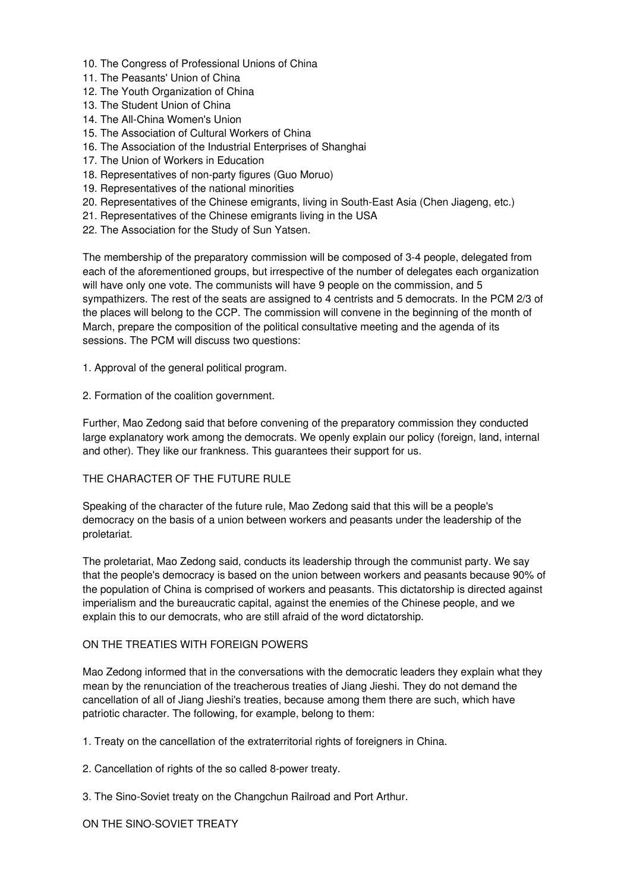- 10. The Congress of Professional Unions of China
- 11. The Peasants' Union of China
- 12. The Youth Organization of China
- 13. The Student Union of China
- 14. The All-China Women's Union
- 15. The Association of Cultural Workers of China
- 16. The Association of the Industrial Enterprises of Shanghai
- 17. The Union of Workers in Education
- 18. Representatives of non-party figures (Guo Moruo)
- 19. Representatives of the national minorities
- 20. Representatives of the Chinese emigrants, living in South-East Asia (Chen Jiageng, etc.)
- 21. Representatives of the Chinese emigrants living in the USA
- 22. The Association for the Study of Sun Yatsen.

The membership of the preparatory commission will be composed of 3-4 people, delegated from each of the aforementioned groups, but irrespective of the number of delegates each organization will have only one vote. The communists will have 9 people on the commission, and 5 sympathizers. The rest of the seats are assigned to 4 centrists and 5 democrats. In the PCM 2/3 of the places will belong to the CCP. The commission will convene in the beginning of the month of March, prepare the composition of the political consultative meeting and the agenda of its sessions. The PCM will discuss two questions:

- 1. Approval of the general political program.
- 2. Formation of the coalition government.

Further, Mao Zedong said that before convening of the preparatory commission they conducted large explanatory work among the democrats. We openly explain our policy (foreign, land, internal and other). They like our frankness. This guarantees their support for us.

## THE CHARACTER OF THE FUTURE RULE

Speaking of the character of the future rule, Mao Zedong said that this will be a people's democracy on the basis of a union between workers and peasants under the leadership of the proletariat.

The proletariat, Mao Zedong said, conducts its leadership through the communist party. We say that the people's democracy is based on the union between workers and peasants because 90% of the population of China is comprised of workers and peasants. This dictatorship is directed against imperialism and the bureaucratic capital, against the enemies of the Chinese people, and we explain this to our democrats, who are still afraid of the word dictatorship.

#### ON THE TREATIES WITH FOREIGN POWERS

Mao Zedong informed that in the conversations with the democratic leaders they explain what they mean by the renunciation of the treacherous treaties of Jiang Jieshi. They do not demand the cancellation of all of Jiang Jieshi's treaties, because among them there are such, which have patriotic character. The following, for example, belong to them:

- 1. Treaty on the cancellation of the extraterritorial rights of foreigners in China.
- 2. Cancellation of rights of the so called 8-power treaty.
- 3. The Sino-Soviet treaty on the Changchun Railroad and Port Arthur.

ON THE SINO-SOVIET TREATY